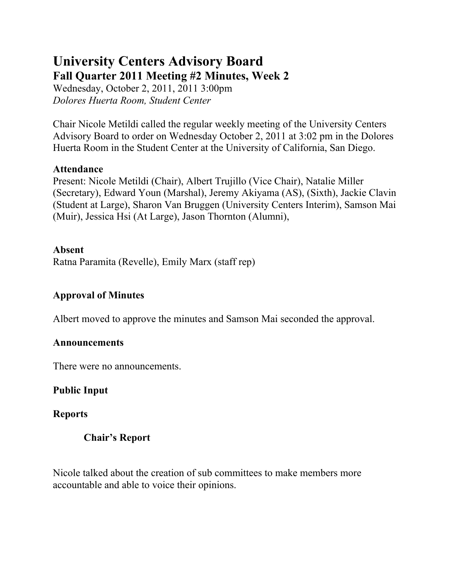# **University Centers Advisory Board Fall Quarter 2011 Meeting #2 Minutes, Week 2**

Wednesday, October 2, 2011, 2011 3:00pm *Dolores Huerta Room, Student Center*

Chair Nicole Metildi called the regular weekly meeting of the University Centers Advisory Board to order on Wednesday October 2, 2011 at 3:02 pm in the Dolores Huerta Room in the Student Center at the University of California, San Diego.

#### **Attendance**

Present: Nicole Metildi (Chair), Albert Trujillo (Vice Chair), Natalie Miller (Secretary), Edward Youn (Marshal), Jeremy Akiyama (AS), (Sixth), Jackie Clavin (Student at Large), Sharon Van Bruggen (University Centers Interim), Samson Mai (Muir), Jessica Hsi (At Large), Jason Thornton (Alumni),

#### **Absent**

Ratna Paramita (Revelle), Emily Marx (staff rep)

# **Approval of Minutes**

Albert moved to approve the minutes and Samson Mai seconded the approval.

#### **Announcements**

There were no announcements.

# **Public Input**

# **Reports**

# **Chair's Report**

Nicole talked about the creation of sub committees to make members more accountable and able to voice their opinions.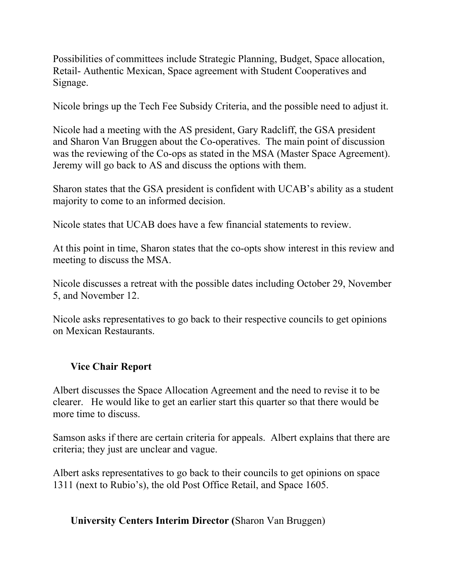Possibilities of committees include Strategic Planning, Budget, Space allocation, Retail- Authentic Mexican, Space agreement with Student Cooperatives and Signage.

Nicole brings up the Tech Fee Subsidy Criteria, and the possible need to adjust it.

Nicole had a meeting with the AS president, Gary Radcliff, the GSA president and Sharon Van Bruggen about the Co-operatives. The main point of discussion was the reviewing of the Co-ops as stated in the MSA (Master Space Agreement). Jeremy will go back to AS and discuss the options with them.

Sharon states that the GSA president is confident with UCAB's ability as a student majority to come to an informed decision.

Nicole states that UCAB does have a few financial statements to review.

At this point in time, Sharon states that the co-opts show interest in this review and meeting to discuss the MSA.

Nicole discusses a retreat with the possible dates including October 29, November 5, and November 12.

Nicole asks representatives to go back to their respective councils to get opinions on Mexican Restaurants.

# **Vice Chair Report**

Albert discusses the Space Allocation Agreement and the need to revise it to be clearer. He would like to get an earlier start this quarter so that there would be more time to discuss.

Samson asks if there are certain criteria for appeals. Albert explains that there are criteria; they just are unclear and vague.

Albert asks representatives to go back to their councils to get opinions on space 1311 (next to Rubio's), the old Post Office Retail, and Space 1605.

# **University Centers Interim Director (**Sharon Van Bruggen)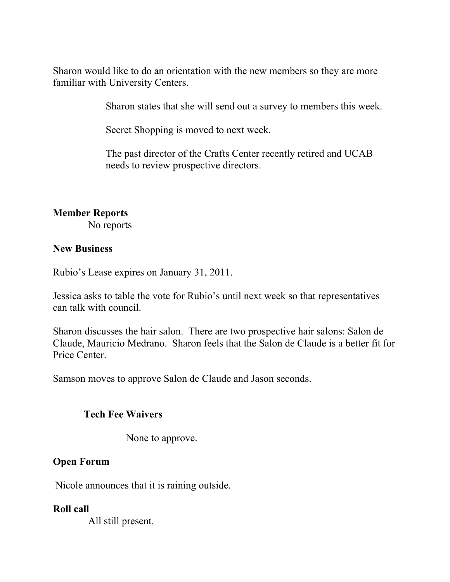Sharon would like to do an orientation with the new members so they are more familiar with University Centers.

Sharon states that she will send out a survey to members this week.

Secret Shopping is moved to next week.

The past director of the Crafts Center recently retired and UCAB needs to review prospective directors.

#### **Member Reports**

No reports

#### **New Business**

Rubio's Lease expires on January 31, 2011.

Jessica asks to table the vote for Rubio's until next week so that representatives can talk with council.

Sharon discusses the hair salon. There are two prospective hair salons: Salon de Claude, Mauricio Medrano. Sharon feels that the Salon de Claude is a better fit for Price Center.

Samson moves to approve Salon de Claude and Jason seconds.

#### **Tech Fee Waivers**

None to approve.

# **Open Forum**

Nicole announces that it is raining outside.

#### **Roll call**

All still present.